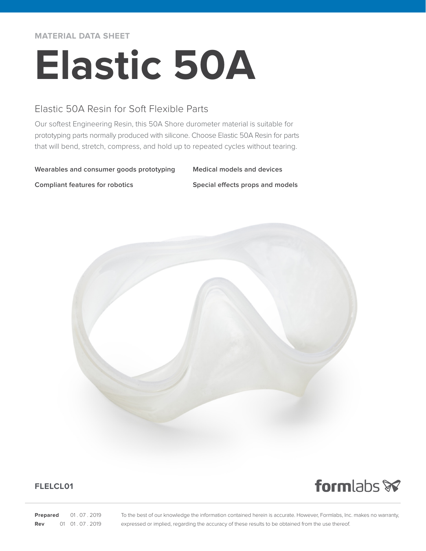**MATERIAL DATA SHEET**

# **Elastic 50A**

## Elastic 50A Resin for Soft Flexible Parts

Our softest Engineering Resin, this 50A Shore durometer material is suitable for prototyping parts normally produced with silicone. Choose Elastic 50A Resin for parts that will bend, stretch, compress, and hold up to repeated cycles without tearing.

#### **Wearables and consumer goods prototyping Medical models and devices**

**Compliant features for robotics Special effects props and models**



### **FLELCL01**

formlabs<sup></sup>

**Prepared** 01.07.2019 **Rev** 01 01 07 2019 To the best of our knowledge the information contained herein is accurate. However, Formlabs, Inc. makes no warranty, expressed or implied, regarding the accuracy of these results to be obtained from the use thereof.